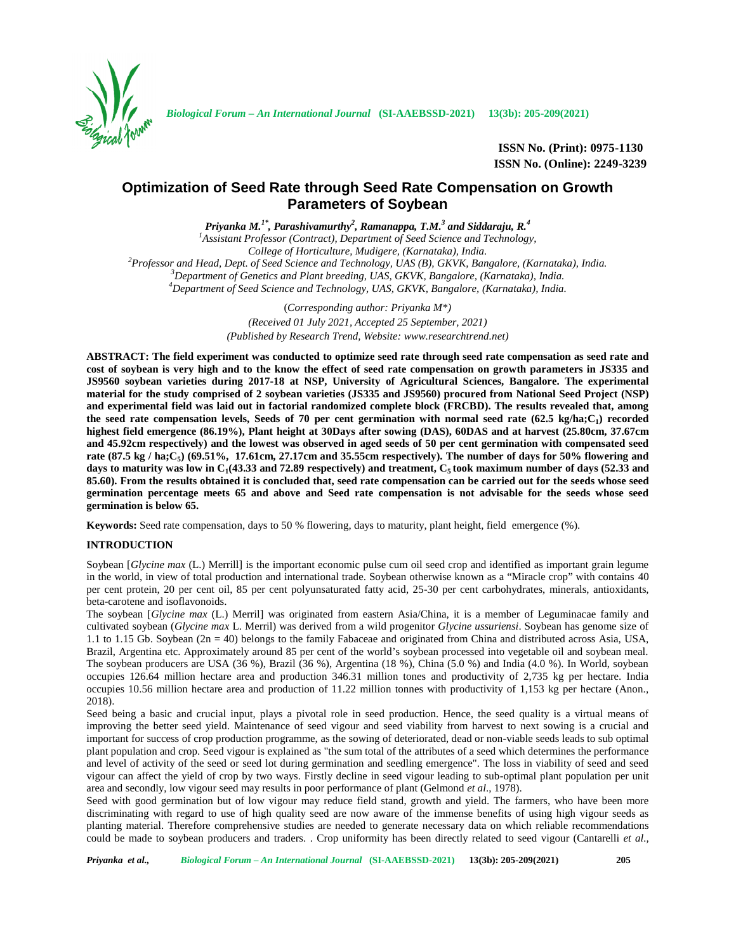

*Biological Forum – An International Journal* **(SI-AAEBSSD-2021) 13(3b): 205-209(2021)**

**ISSN No. (Print): 0975-1130 ISSN No. (Online): 2249-3239**

# **Optimization of Seed Rate through Seed Rate Compensation on Growth Parameters of Soybean**

*Priyanka M.1\* , Parashivamurthy<sup>2</sup> , Ramanappa, T.M.<sup>3</sup> and Siddaraju, R.<sup>4</sup>*

*<sup>1</sup>Assistant Professor (Contract), Department of Seed Science and Technology,* <sup>2</sup>Professor and Head, Dept. of Seed Science and Technology, UAS (B), GKVK, Bangalore, (Karnataka), India.<br><sup>3</sup>Department of Genetics and Plant breeding, UAS, GKVK, Bangalore, (Karnataka), India.<br><sup>4</sup>Department of Seed Scie

> (*Corresponding author: Priyanka M\*) (Received 01 July 2021, Accepted 25 September, 2021) (Published by Research Trend, Website: <www.researchtrend.net>)*

**ABSTRACT: The field experiment was conducted to optimize seed rate through seed rate compensation as seed rate and cost of soybean is very high and to the know the effect of seed rate compensation on growth parameters in JS335 and JS9560 soybean varieties during 2017-18 at NSP, University of Agricultural Sciences, Bangalore. The experimental material for the study comprised of 2 soybean varieties (JS335 and JS9560) procured from National Seed Project (NSP) and experimental field was laid out in factorial randomized complete block (FRCBD). The results revealed that, among the seed rate compensation levels, Seeds of 70 per cent germination with normal seed rate (62.5 kg/ha;C<sup>1</sup> ) recorded highest field emergence (86.19%), Plant height at 30Days after sowing (DAS), 60DAS and at harvest (25.80cm, 37.67cm and 45.92cm respectively) and the lowest was observed in aged seeds of 50 per cent germination with compensated seed rate (87.5 kg / ha;C<sup>5</sup> ) (69.51%, 17.61cm, 27.17cm and 35.55cm respectively). The number of days for 50% flowering and days to maturity was low in C<sup>1</sup> (43.33 and 72.89 respectively) and treatment, C<sup>5</sup> took maximum number of days (52.33 and 85.60). From the results obtained it is concluded that, seed rate compensation can be carried out for the seeds whose seed germination percentage meets 65 and above and Seed rate compensation is not advisable for the seeds whose seed germination is below 65.**

**Keywords:** Seed rate compensation, days to 50 % flowering, days to maturity, plant height, field emergence (%).

# **INTRODUCTION**

Soybean [*Glycine max* (L.) Merrill] is the important economic pulse cum oil seed crop and identified as important grain legume in the world, in view of total production and international trade. Soybean otherwise known as a "Miracle crop" with contains 40 per cent protein, 20 per cent oil, 85 per cent polyunsaturated fatty acid, 25-30 per cent carbohydrates, minerals, antioxidants, beta-carotene and isoflavonoids.

The soybean [*Glycine max* (L.) Merril] was originated from eastern Asia/China, it is a member of Leguminacae family and cultivated soybean (*Glycine max* L. Merril) was derived from a wild progenitor *Glycine ussuriensi*. Soybean has genome size of 1.1 to 1.15 Gb. Soybean (2n = 40) belongs to the family Fabaceae and originated from China and distributed across Asia, USA, Brazil, Argentina etc. Approximately around 85 per cent of the world's soybean processed into vegetable oil and soybean meal. The soybean producers are USA (36 %), Brazil (36 %), Argentina (18 %), China (5.0 %) and India (4.0 %). In World, soybean occupies 126.64 million hectare area and production 346.31 million tones and productivity of 2,735 kg per hectare. India occupies 10.56 million hectare area and production of 11.22 million tonnes with productivity of 1,153 kg per hectare (Anon., 2018).

Seed being a basic and crucial input, plays a pivotal role in seed production. Hence, the seed quality is a virtual means of improving the better seed yield. Maintenance of seed vigour and seed viability from harvest to next sowing is a crucial and important for success of crop production programme, as the sowing of deteriorated, dead or non-viable seeds leads to sub optimal plant population and crop. Seed vigour is explained as "the sum total of the attributes of a seed which determines the performance and level of activity of the seed or seed lot during germination and seedling emergence". The loss in viability of seed and seed vigour can affect the yield of crop by two ways. Firstly decline in seed vigour leading to sub-optimal plant population per unit area and secondly, low vigour seed may results in poor performance of plant (Gelmond *et al*., 1978).

Seed with good germination but of low vigour may reduce field stand, growth and yield. The farmers, who have been more discriminating with regard to use of high quality seed are now aware of the immense benefits of using high vigour seeds as planting material. Therefore comprehensive studies are needed to generate necessary data on which reliable recommendations could be made to soybean producers and traders. . Crop uniformity has been directly related to seed vigour (Cantarelli *et al.,*

*Priyanka et al., Biological Forum – An International Journal* **(SI-AAEBSSD-2021) 13(3b): 205-209(2021) 205**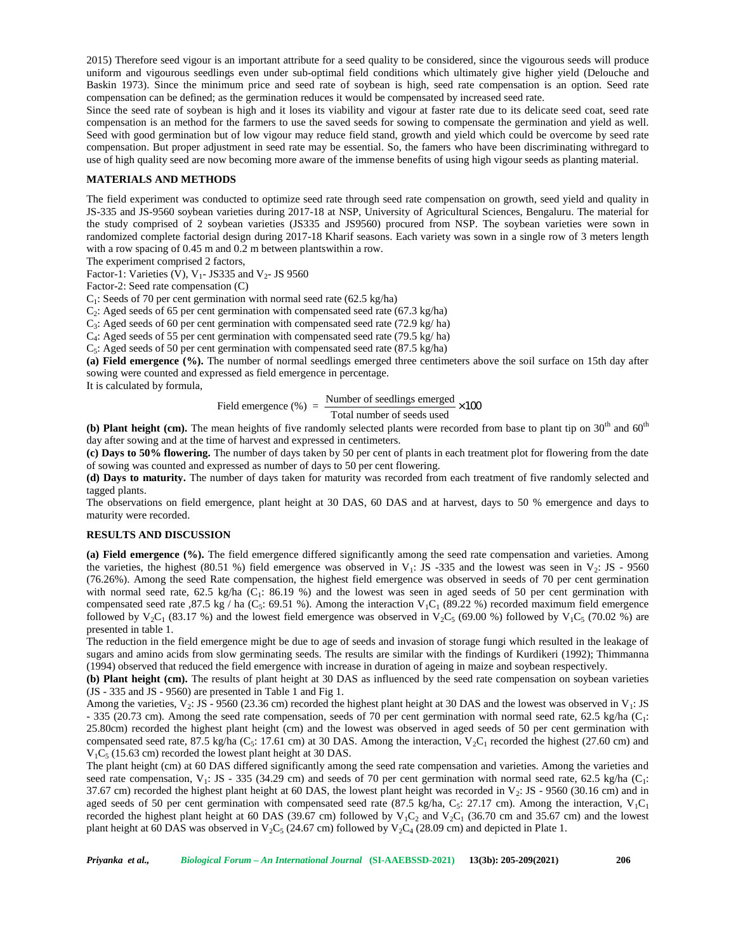2015) Therefore seed vigour is an important attribute for a seed quality to be considered, since the vigourous seeds will produce uniform and vigourous seedlings even under sub-optimal field conditions which ultimately give higher yield (Delouche and Baskin 1973). Since the minimum price and seed rate of soybean is high, seed rate compensation is an option. Seed rate compensation can be defined; as the germination reduces it would be compensated by increased seed rate.

Since the seed rate of soybean is high and it loses its viability and vigour at faster rate due to its delicate seed coat, seed rate compensation is an method for the farmers to use the saved seeds for sowing to compensate the germination and yield as well. Seed with good germination but of low vigour may reduce field stand, growth and yield which could be overcome by seed rate compensation. But proper adjustment in seed rate may be essential. So, the famers who have been discriminating withregard to use of high quality seed are now becoming more aware of the immense benefits of using high vigour seeds as planting material.

# **MATERIALS AND METHODS**

The field experiment was conducted to optimize seed rate through seed rate compensation on growth, seed yield and quality in JS-335 and JS-9560 soybean varieties during 2017-18 at NSP, University of Agricultural Sciences, Bengaluru. The material for the study comprised of 2 soybean varieties (JS335 and JS9560) procured from NSP. The soybean varieties were sown in randomized complete factorial design during 2017-18 Kharif seasons. Each variety was sown in a single row of 3 meters length with a row spacing of 0.45 m and 0.2 m between plantswithin a row.

The experiment comprised 2 factors,

Factor-1: Varieties (V),  $V_1$ - JS335 and  $V_2$ - JS 9560

Factor-2: Seed rate compensation (C)

 $C_1$ : Seeds of 70 per cent germination with normal seed rate (62.5 kg/ha)

 $C_2$ : Aged seeds of 65 per cent germination with compensated seed rate (67.3 kg/ha)

C<sup>3</sup> : Aged seeds of 60 per cent germination with compensated seed rate (72.9 kg/ ha)

C<sup>4</sup> : Aged seeds of 55 per cent germination with compensated seed rate (79.5 kg/ ha)

C<sup>5</sup> : Aged seeds of 50 per cent germination with compensated seed rate (87.5 kg/ha)

**(a) Field emergence (%).** The number of normal seedlings emerged three centimeters above the soil surface on 15th day after sowing were counted and expressed as field emergence in percentage.

It is calculated by formula,

$$
Field emergence (%) = \frac{Number of seedlings emerged}{Total number of seeds used} \times 100
$$

**(b) Plant height (cm).** The mean heights of five randomly selected plants were recorded from base to plant tip on  $30<sup>th</sup>$  and  $60<sup>th</sup>$ day after sowing and at the time of harvest and expressed in centimeters.

**(c) Days to 50% flowering.** The number of days taken by 50 per cent of plants in each treatment plot for flowering from the date of sowing was counted and expressed as number of days to 50 per cent flowering.

**(d) Days to maturity.** The number of days taken for maturity was recorded from each treatment of five randomly selected and tagged plants.

The observations on field emergence, plant height at 30 DAS, 60 DAS and at harvest, days to 50 % emergence and days to maturity were recorded.

#### **RESULTS AND DISCUSSION**

**(a) Field emergence (%).** The field emergence differed significantly among the seed rate compensation and varieties. Among the varieties, the highest (80.51 %) field emergence was observed in  $V_1$ : JS -335 and the lowest was seen in  $V_2$ : JS - 9560 (76.26%). Among the seed Rate compensation, the highest field emergence was observed in seeds of 70 per cent germination with normal seed rate, 62.5 kg/ha ( $C_1$ : 86.19 %) and the lowest was seen in aged seeds of 50 per cent germination with compensated seed rate ,87.5 kg / ha (C<sub>5</sub>: 69.51 %). Among the interaction  $V_1C_1$  (89.22 %) recorded maximum field emergence followed by  $V_2C_1$  (83.17 %) and the lowest field emergence was observed in  $V_2C_5$  (69.00 %) followed by  $V_1C_5$  (70.02 %) are presented in table 1.

The reduction in the field emergence might be due to age of seeds and invasion of storage fungi which resulted in the leakage of sugars and amino acids from slow germinating seeds. The results are similar with the findings of Kurdikeri (1992); Thimmanna (1994) observed that reduced the field emergence with increase in duration of ageing in maize and soybean respectively.

**(b) Plant height (cm).** The results of plant height at 30 DAS as influenced by the seed rate compensation on soybean varieties (JS - 335 and JS - 9560) are presented in Table 1 and Fig 1.

Among the varieties,  $V_2$ : JS - 9560 (23.36 cm) recorded the highest plant height at 30 DAS and the lowest was observed in  $V_1$ : JS - 335 (20.73 cm). Among the seed rate compensation, seeds of 70 per cent germination with normal seed rate, 62.5 kg/ha ( $C_1$ : 25.80cm) recorded the highest plant height (cm) and the lowest was observed in aged seeds of 50 per cent germination with compensated seed rate, 87.5 kg/ha ( $C_5$ : 17.61 cm) at 30 DAS. Among the interaction,  $V_2C_1$  recorded the highest (27.60 cm) and  $V_1C_5$  (15.63 cm) recorded the lowest plant height at 30 DAS.

The plant height (cm) at 60 DAS differed significantly among the seed rate compensation and varieties. Among the varieties and seed rate compensation,  $V_1$ : JS - 335 (34.29 cm) and seeds of 70 per cent germination with normal seed rate, 62.5 kg/ha ( $C_1$ : 37.67 cm) recorded the highest plant height at 60 DAS, the lowest plant height was recorded in  $V_2$ : JS - 9560 (30.16 cm) and in aged seeds of 50 per cent germination with compensated seed rate  $(87.5 \text{ kg/ha}, C_5: 27.17 \text{ cm})$ . Among the interaction,  $V_1C_1$ recorded the highest plant height at 60 DAS (39.67 cm) followed by  $V_1C_2$  and  $V_2C_1$  (36.70 cm and 35.67 cm) and the lowest plant height at 60 DAS was observed in  $V_2C_5$  (24.67 cm) followed by  $V_2C_4$  (28.09 cm) and depicted in Plate 1.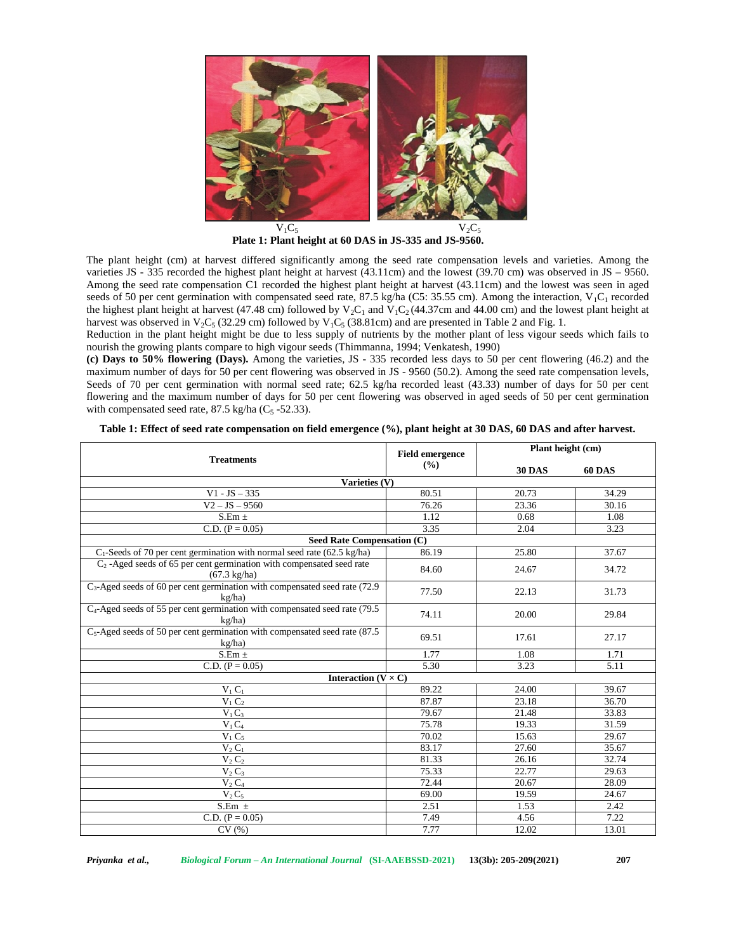

**Plate 1: Plant height at 60 DAS in JS-335 and JS-9560.**

The plant height (cm) at harvest differed significantly among the seed rate compensation levels and varieties. Among the varieties JS - 335 recorded the highest plant height at harvest (43.11cm) and the lowest (39.70 cm) was observed in JS – 9560. Among the seed rate compensation C1 recorded the highest plant height at harvest (43.11cm) and the lowest was seen in aged seeds of 50 per cent germination with compensated seed rate, 87.5 kg/ha (C5: 35.55 cm). Among the interaction,  $V_1C_1$  recorded the highest plant height at harvest (47.48 cm) followed by  $V_2C_1$  and  $V_1C_2$  (44.37cm and 44.00 cm) and the lowest plant height at harvest was observed in  $V_2C_5$  (32.29 cm) followed by  $V_1C_5$  (38.81cm) and are presented in Table 2 and Fig. 1.

Reduction in the plant height might be due to less supply of nutrients by the mother plant of less vigour seeds which fails to nourish the growing plants compare to high vigour seeds (Thimmanna, 1994; Venkatesh, 1990)

**(c) Days to 50% flowering (Days).** Among the varieties, JS - 335 recorded less days to 50 per cent flowering (46.2) and the maximum number of days for 50 per cent flowering was observed in JS - 9560 (50.2). Among the seed rate compensation levels, Seeds of 70 per cent germination with normal seed rate; 62.5 kg/ha recorded least (43.33) number of days for 50 per cent flowering and the maximum number of days for 50 per cent flowering was observed in aged seeds of 50 per cent germination with compensated seed rate,  $87.5 \text{ kg/ha}$  (C<sub>5</sub> -52.33).

| <b>Treatments</b>                                                                                 | <b>Field emergence</b><br>(%) | Plant height (cm) |               |
|---------------------------------------------------------------------------------------------------|-------------------------------|-------------------|---------------|
|                                                                                                   |                               | <b>30 DAS</b>     | <b>60 DAS</b> |
| Varieties (V)                                                                                     |                               |                   |               |
| $V1 - JS - 335$                                                                                   | 80.51                         | 20.73             | 34.29         |
| $V2 - JS - 9560$                                                                                  | 76.26                         | 23.36             | 30.16         |
| $S.Em \pm$                                                                                        | 1.12                          | 0.68              | 1.08          |
| C.D. $(P = 0.05)$                                                                                 | 3.35                          | 2.04              | 3.23          |
| Seed Rate Compensation (C)                                                                        |                               |                   |               |
| $C_1$ -Seeds of 70 per cent germination with normal seed rate (62.5 kg/ha)                        | 86.19                         | 25.80             | 37.67         |
| $C_2$ -Aged seeds of 65 per cent germination with compensated seed rate<br>$(67.3 \text{ kg/ha})$ | 84.60                         | 24.67             | 34.72         |
| $C_3$ -Aged seeds of 60 per cent germination with compensated seed rate (72.9)<br>$k\varrho/ha$   | 77.50                         | 22.13             | 31.73         |
| $C_4$ -Aged seeds of 55 per cent germination with compensated seed rate (79.5)<br>kg/ha)          | 74.11                         | 20.00             | 29.84         |
| $C_5$ -Aged seeds of 50 per cent germination with compensated seed rate (87.5)<br>kg/ha)          | 69.51                         | 17.61             | 27.17         |
| $S.Em \pm$                                                                                        | 1.77                          | 1.08              | 1.71          |
| C.D. $(P = 0.05)$                                                                                 | 5.30                          | 3.23              | 5.11          |
| Interaction ( $V \times C$ )                                                                      |                               |                   |               |
| $V_1C_1$                                                                                          | 89.22                         | 24.00             | 39.67         |
| $\overline{V}_1 C_2$                                                                              | 87.87                         | 23.18             | 36.70         |
| $V_1C_3$                                                                                          | 79.67                         | 21.48             | 33.83         |
| $V_1C_4$                                                                                          | 75.78                         | 19.33             | 31.59         |
| $V_1C_5$                                                                                          | 70.02                         | 15.63             | 29.67         |
| $V_2C_1$                                                                                          | 83.17                         | 27.60             | 35.67         |
| $V_2C_2$                                                                                          | 81.33                         | 26.16             | 32.74         |
| $V_2C_3$                                                                                          | 75.33                         | 22.77             | 29.63         |
| $V_2C_4$                                                                                          | 72.44                         | 20.67             | 28.09         |
| $V_2C_5$                                                                                          | 69.00                         | 19.59             | 24.67         |
| S.Em $\pm$                                                                                        | 2.51                          | 1.53              | 2.42          |
| C.D. $(P = 0.05)$                                                                                 | 7.49                          | 4.56              | 7.22          |
| $\overline{\mathrm{CV}\left(\% \right)}$                                                          | 7.77                          | 12.02             | 13.01         |

**Table 1: Effect of seed rate compensation on field emergence (%), plant height at 30 DAS, 60 DAS and after harvest.**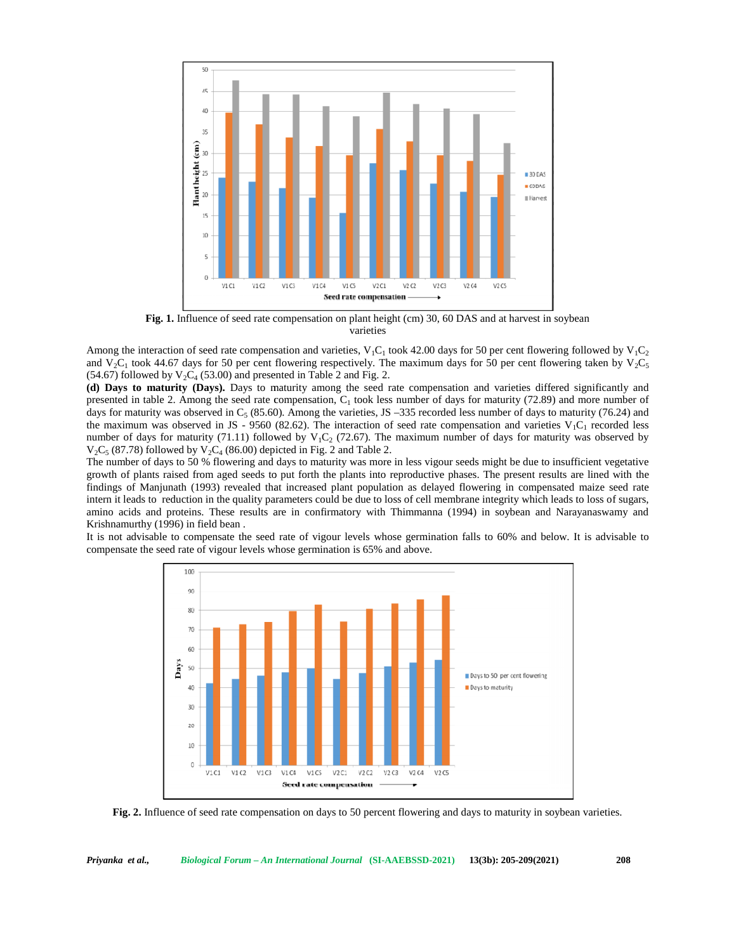

**Fig. 1.** Influence of seed rate compensation on plant height (cm) 30, 60 DAS and at harvest in soybean varieties

Among the interaction of seed rate compensation and varieties,  $V_1C_1$  took 42.00 days for 50 per cent flowering followed by  $V_1C_2$ and  $V_2C_1$  took 44.67 days for 50 per cent flowering respectively. The maximum days for 50 per cent flowering taken by  $V_2C_5$  $(54.67)$  followed by  $V_2C_4$  (53.00) and presented in Table 2 and Fig. 2. **Fig. 1.** Influence of seed rate compensation on plant height (cm) 30, 60 DAS and at harvest in soyl varieties ong the interaction of seed rate compensation and varieties,  $V_1C_1$  took 42.00 days for 50 per cent flowerin

**(d) Days to maturity (Days).** Days to maturity among the seed rate compensation and varieties differed significantly and presented in table 2. Among the seed rate compensation,  $C_1$  took less number of days for maturity (72.89) and more number of days for maturity was observed in  $C_5$  (85.60). Among the varieties, JS -335 recorded less number of days to maturity (76.24) and the maximum was observed in JS - 9560 (82.62). The interaction of seed rate compensation and varieties  $V_1C_1$  recorded less number of days for maturity (71.11) followed by  $V_1C_2$  (72.67). The maximum number of days for maturity was observed by  $V_2C_5$  (87.78) followed by  $V_2C_4$  (86.00) depicted in Fig. 2 and Table 2. (d) Days to maturity (Days). Days to maturity among the seed rate compensation and varieties differed significantly and presented in table 2. Among the seed rate compensation, C<sub>1</sub> took less number of days for maturity (7

The number of days to 50 % flowering and days to maturity was more in less vigour seeds might be due to insufficient vegetative The number of days to 50 % flowering and days to maturity was more in less vigour seeds might be due to insufficient vegetative<br>growth of plants raised from aged seeds to put forth the plants into reproductive phases. The findings of Manjunath (1993) revealed that increased plant population as delayed flowering in compensated maize seed rate findings of Manjunath (1993) revealed that increased plant population as delayed flowering in compensated maize seed rate<br>intern it leads to reduction in the quality parameters could be due to loss of cell membrane integri amino acids and proteins. These results are in confirmatory with Thimmanna (1994) in soybean and Narayanaswamy and Krishnamurthy (1996) in field bean .

It is not advisable to compensate the seed rate of vigour levels whose germination falls to 60% and below. It is advisable to compensate the seed rate of vigour levels whose germination is 65% and above.



**Fig. 2.** Influence of seed rate compensation on days to 50 percent flowering and days to maturity in soybean varieties.

*Priyanka et al., Biological Forum – An International Journal* **(SI-AAEBSSD-2021) 13(3b): 205-209(2021) 208**